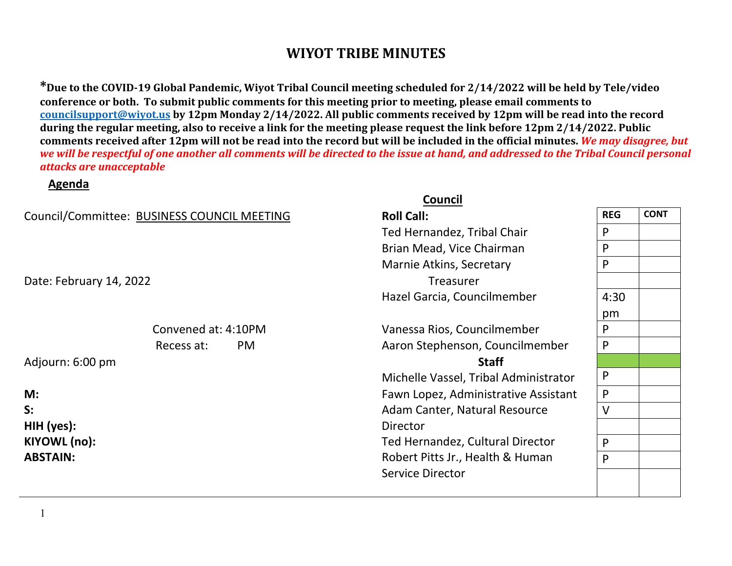**\*Due to the COVID-19 Global Pandemic, Wiyot Tribal Council meeting scheduled for 2/14/2022 will be held by Tele/video conference or both. To submit public comments for this meeting prior to meeting, please email comments to [councilsupport@wiyot.us](mailto:councilsupport@wiyot.us) by 12pm Monday 2/14/2022. All public comments received by 12pm will be read into the record during the regular meeting, also to receive a link for the meeting please request the link before 12pm 2/14/2022. Public comments received after 12pm will not be read into the record but will be included in the official minutes.** *We may disagree, but we will be respectful of one another all comments will be directed to the issue at hand, and addressed to the Tribal Council personal attacks are unacceptable*

#### **Agenda**

|                                             | Council                               |            |             |
|---------------------------------------------|---------------------------------------|------------|-------------|
| Council/Committee: BUSINESS COUNCIL MEETING | <b>Roll Call:</b>                     | <b>REG</b> | <b>CONT</b> |
|                                             | Ted Hernandez, Tribal Chair           | P          |             |
|                                             | Brian Mead, Vice Chairman             | P          |             |
|                                             | Marnie Atkins, Secretary              | P          |             |
| Date: February 14, 2022                     | <b>Treasurer</b>                      |            |             |
|                                             | Hazel Garcia, Councilmember           | 4:30       |             |
|                                             |                                       | pm         |             |
| Convened at: 4:10PM                         | Vanessa Rios, Councilmember           | P          |             |
| Recess at:<br><b>PM</b>                     | Aaron Stephenson, Councilmember       | P          |             |
| Adjourn: 6:00 pm                            | <b>Staff</b>                          |            |             |
|                                             | Michelle Vassel, Tribal Administrator | P          |             |
| M:                                          | Fawn Lopez, Administrative Assistant  | P          |             |
| S:                                          | Adam Canter, Natural Resource         | V          |             |
| HIH (yes):                                  | Director                              |            |             |
| KIYOWL (no):                                | Ted Hernandez, Cultural Director      | P          |             |
| <b>ABSTAIN:</b>                             | Robert Pitts Jr., Health & Human      | P          |             |
|                                             | Service Director                      |            |             |
|                                             |                                       |            |             |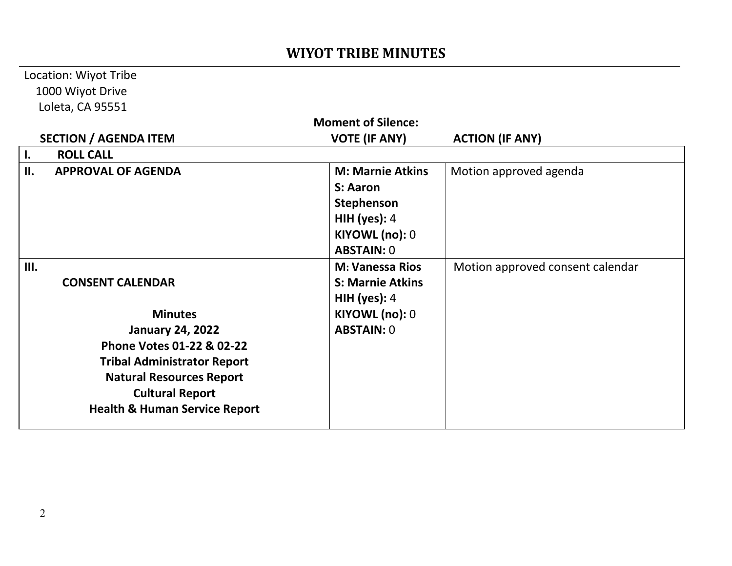#### Location: Wiyot Tribe 1000 Wiyot Drive Loleta, CA 95551

| <b>Moment of Silence:</b> |                                                                                                                                                                                                                                                  |                                                                                                            |                                  |
|---------------------------|--------------------------------------------------------------------------------------------------------------------------------------------------------------------------------------------------------------------------------------------------|------------------------------------------------------------------------------------------------------------|----------------------------------|
|                           | <b>SECTION / AGENDA ITEM</b>                                                                                                                                                                                                                     | <b>VOTE (IF ANY)</b>                                                                                       | <b>ACTION (IF ANY)</b>           |
| I.                        | <b>ROLL CALL</b>                                                                                                                                                                                                                                 |                                                                                                            |                                  |
| II.                       | <b>APPROVAL OF AGENDA</b>                                                                                                                                                                                                                        | <b>M: Marnie Atkins</b><br>S: Aaron<br>Stephenson<br>HIH (yes): $4$<br>KIYOWL (no): 0<br><b>ABSTAIN: 0</b> | Motion approved agenda           |
| III.                      | <b>CONSENT CALENDAR</b><br><b>Minutes</b><br><b>January 24, 2022</b><br>Phone Votes 01-22 & 02-22<br><b>Tribal Administrator Report</b><br><b>Natural Resources Report</b><br><b>Cultural Report</b><br><b>Health &amp; Human Service Report</b> | <b>M: Vanessa Rios</b><br><b>S: Marnie Atkins</b><br>HIH (yes): $4$<br>KIYOWL (no): 0<br><b>ABSTAIN: 0</b> | Motion approved consent calendar |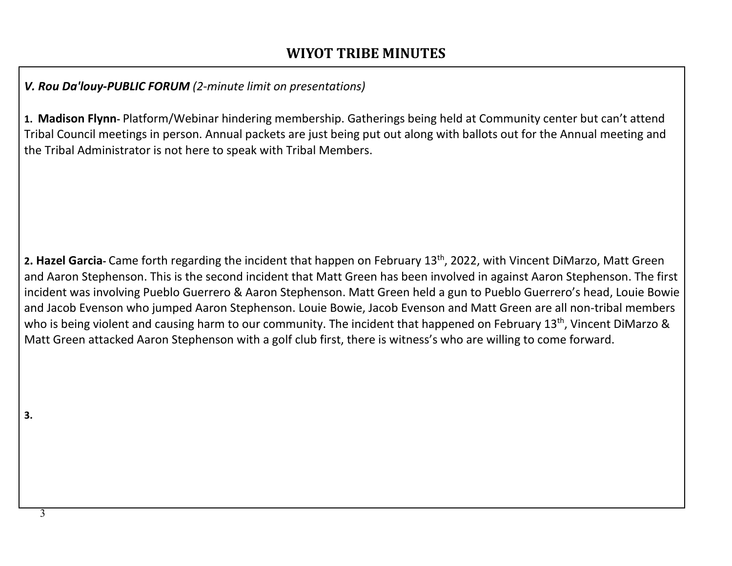#### *V. Rou Da'louy-PUBLIC FORUM (2-minute limit on presentations)*

**1. Madison Flynn-** Platform/Webinar hindering membership. Gatherings being held at Community center but can't attend Tribal Council meetings in person. Annual packets are just being put out along with ballots out for the Annual meeting and the Tribal Administrator is not here to speak with Tribal Members.

2. Hazel Garcia- Came forth regarding the incident that happen on February 13<sup>th</sup>, 2022, with Vincent DiMarzo, Matt Green and Aaron Stephenson. This is the second incident that Matt Green has been involved in against Aaron Stephenson. The first incident was involving Pueblo Guerrero & Aaron Stephenson. Matt Green held a gun to Pueblo Guerrero's head, Louie Bowie and Jacob Evenson who jumped Aaron Stephenson. Louie Bowie, Jacob Evenson and Matt Green are all non-tribal members who is being violent and causing harm to our community. The incident that happened on February 13<sup>th</sup>, Vincent DiMarzo & Matt Green attacked Aaron Stephenson with a golf club first, there is witness's who are willing to come forward.

**3.**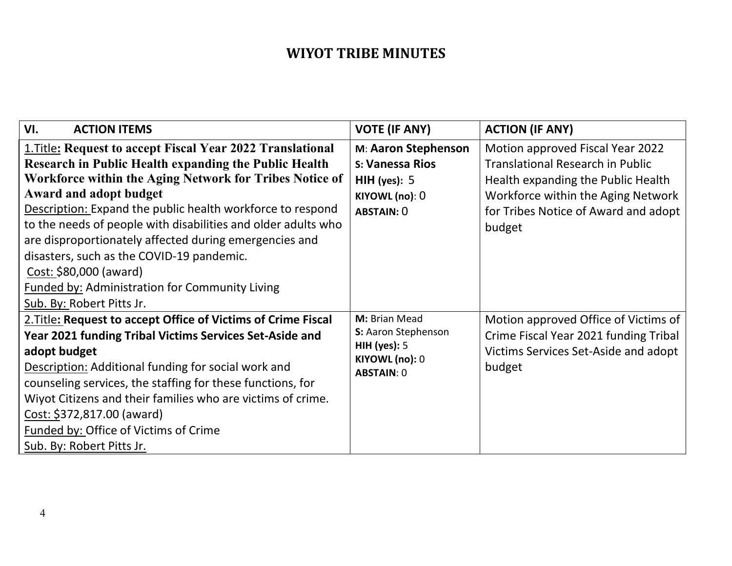| VI.<br><b>ACTION ITEMS</b>                                                                                                                                                                                                                                                                                                                                                                                                                                                                                                                                     | <b>VOTE (IF ANY)</b>                                                                            | <b>ACTION (IF ANY)</b>                                                                                                                                                                                    |
|----------------------------------------------------------------------------------------------------------------------------------------------------------------------------------------------------------------------------------------------------------------------------------------------------------------------------------------------------------------------------------------------------------------------------------------------------------------------------------------------------------------------------------------------------------------|-------------------------------------------------------------------------------------------------|-----------------------------------------------------------------------------------------------------------------------------------------------------------------------------------------------------------|
| 1. Title: Request to accept Fiscal Year 2022 Translational<br>Research in Public Health expanding the Public Health<br>Workforce within the Aging Network for Tribes Notice of<br><b>Award and adopt budget</b><br>Description: Expand the public health workforce to respond<br>to the needs of people with disabilities and older adults who<br>are disproportionately affected during emergencies and<br>disasters, such as the COVID-19 pandemic.<br>Cost: \$80,000 (award)<br>Funded by: Administration for Community Living<br>Sub. By: Robert Pitts Jr. | M: Aaron Stephenson<br>S: Vanessa Rios<br>HIH (yes): $5$<br>KIYOWL (no): 0<br><b>ABSTAIN: 0</b> | Motion approved Fiscal Year 2022<br><b>Translational Research in Public</b><br>Health expanding the Public Health<br>Workforce within the Aging Network<br>for Tribes Notice of Award and adopt<br>budget |
| 2. Title: Request to accept Office of Victims of Crime Fiscal<br>Year 2021 funding Tribal Victims Services Set-Aside and<br>adopt budget<br><b>Description: Additional funding for social work and</b><br>counseling services, the staffing for these functions, for<br>Wiyot Citizens and their families who are victims of crime.<br>Cost: \$372,817.00 (award)<br>Funded by: Office of Victims of Crime<br>Sub. By: Robert Pitts Jr.                                                                                                                        | M: Brian Mead<br>S: Aaron Stephenson<br>HIH (yes): $5$<br>KIYOWL (no): 0<br><b>ABSTAIN: 0</b>   | Motion approved Office of Victims of<br>Crime Fiscal Year 2021 funding Tribal<br>Victims Services Set-Aside and adopt<br>budget                                                                           |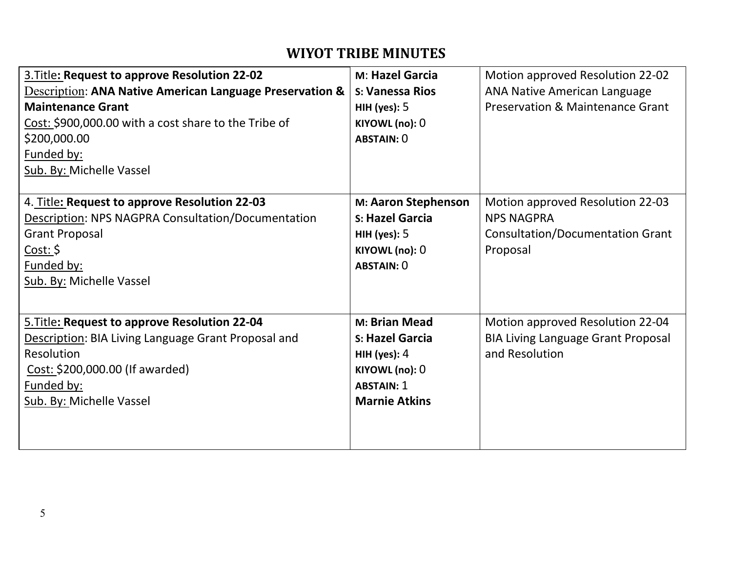| 3. Title: Request to approve Resolution 22-02<br><b>Description: ANA Native American Language Preservation &amp;</b><br><b>Maintenance Grant</b><br>Cost: \$900,000.00 with a cost share to the Tribe of<br>\$200,000.00<br>Funded by:<br>Sub. By: Michelle Vassel<br>4. Title: Request to approve Resolution 22-03 | M: Hazel Garcia<br>S: Vanessa Rios<br>$HH$ (yes): 5<br>KIYOWL (no): 0<br><b>ABSTAIN: 0</b><br>M: Aaron Stephenson | Motion approved Resolution 22-02<br><b>ANA Native American Language</b><br><b>Preservation &amp; Maintenance Grant</b><br>Motion approved Resolution 22-03 |
|---------------------------------------------------------------------------------------------------------------------------------------------------------------------------------------------------------------------------------------------------------------------------------------------------------------------|-------------------------------------------------------------------------------------------------------------------|------------------------------------------------------------------------------------------------------------------------------------------------------------|
| Description: NPS NAGPRA Consultation/Documentation<br><b>Grant Proposal</b><br><u>Cost: \$</u><br>Funded by:<br>Sub. By: Michelle Vassel                                                                                                                                                                            | S: Hazel Garcia<br>HIH (yes): $5$<br>KIYOWL (no): 0<br><b>ABSTAIN: 0</b>                                          | <b>NPS NAGPRA</b><br><b>Consultation/Documentation Grant</b><br>Proposal                                                                                   |
| 5. Title: Request to approve Resolution 22-04<br>Description: BIA Living Language Grant Proposal and<br>Resolution<br>Cost: \$200,000.00 (If awarded)<br>Funded by:<br>Sub. By: Michelle Vassel                                                                                                                     | M: Brian Mead<br>S: Hazel Garcia<br>HIH (yes): $4$<br>KIYOWL (no): 0<br><b>ABSTAIN: 1</b><br><b>Marnie Atkins</b> | Motion approved Resolution 22-04<br><b>BIA Living Language Grant Proposal</b><br>and Resolution                                                            |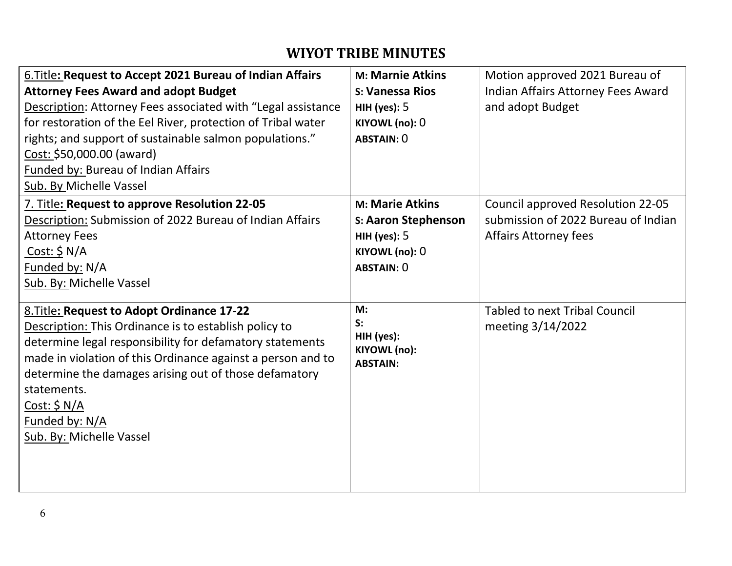| 6. Title: Request to Accept 2021 Bureau of Indian Affairs           | M: Marnie Atkins           | Motion approved 2021 Bureau of           |
|---------------------------------------------------------------------|----------------------------|------------------------------------------|
| <b>Attorney Fees Award and adopt Budget</b>                         | <b>S: Vanessa Rios</b>     | Indian Affairs Attorney Fees Award       |
| <b>Description: Attorney Fees associated with "Legal assistance</b> | $HH$ (yes): 5              | and adopt Budget                         |
| for restoration of the Eel River, protection of Tribal water        | KIYOWL (no): 0             |                                          |
| rights; and support of sustainable salmon populations."             | <b>ABSTAIN: 0</b>          |                                          |
| Cost: \$50,000.00 (award)                                           |                            |                                          |
| Funded by: Bureau of Indian Affairs                                 |                            |                                          |
| Sub. By Michelle Vassel                                             |                            |                                          |
| 7. Title: Request to approve Resolution 22-05                       | M: Marie Atkins            | <b>Council approved Resolution 22-05</b> |
| Description: Submission of 2022 Bureau of Indian Affairs            | s: Aaron Stephenson        | submission of 2022 Bureau of Indian      |
| <b>Attorney Fees</b>                                                | HIH (yes): $5$             | <b>Affairs Attorney fees</b>             |
| $Cost: \frac{6}{5} N/A$                                             | KIYOWL (no): 0             |                                          |
| Funded by: N/A                                                      | <b>ABSTAIN: 0</b>          |                                          |
| Sub. By: Michelle Vassel                                            |                            |                                          |
| 8. Title: Request to Adopt Ordinance 17-22                          | M:                         | <b>Tabled to next Tribal Council</b>     |
| Description: This Ordinance is to establish policy to               | S:                         | meeting 3/14/2022                        |
| determine legal responsibility for defamatory statements            | HIH (yes):<br>KIYOWL (no): |                                          |
| made in violation of this Ordinance against a person and to         | <b>ABSTAIN:</b>            |                                          |
| determine the damages arising out of those defamatory               |                            |                                          |
| statements.                                                         |                            |                                          |
| <u>Cost: \$ N/A</u>                                                 |                            |                                          |
| Funded by: N/A                                                      |                            |                                          |
| Sub. By: Michelle Vassel                                            |                            |                                          |
|                                                                     |                            |                                          |
|                                                                     |                            |                                          |
|                                                                     |                            |                                          |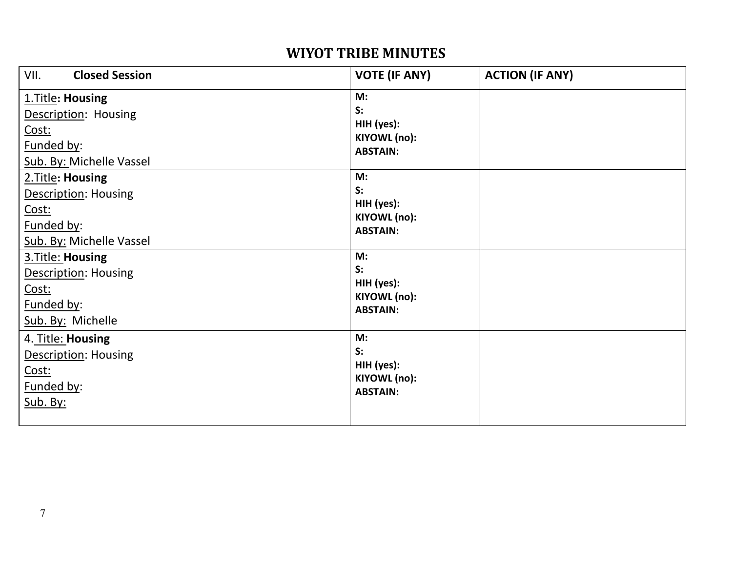| VII.<br><b>Closed Session</b>                                                                       | <b>VOTE (IF ANY)</b>                                         | <b>ACTION (IF ANY)</b> |
|-----------------------------------------------------------------------------------------------------|--------------------------------------------------------------|------------------------|
| 1. Title: Housing<br>Description: Housing<br>Cost:<br>Funded by:<br>Sub. By: Michelle Vassel        | M:<br>S:<br>HIH (yes):<br>KIYOWL (no):<br><b>ABSTAIN:</b>    |                        |
| 2. Title: Housing<br><b>Description: Housing</b><br>Cost:<br>Funded by:<br>Sub. By: Michelle Vassel | M:<br>$S$ :<br>HIH (yes):<br>KIYOWL (no):<br><b>ABSTAIN:</b> |                        |
| 3. Title: Housing<br><b>Description: Housing</b><br>Cost:<br>Funded by:<br>Sub. By: Michelle        | M:<br>S:<br>HIH (yes):<br>KIYOWL (no):<br><b>ABSTAIN:</b>    |                        |
| 4. Title: Housing<br><b>Description: Housing</b><br>Cost:<br>Funded by:<br>Sub. By:                 | M:<br>$S$ :<br>HIH (yes):<br>KIYOWL (no):<br><b>ABSTAIN:</b> |                        |